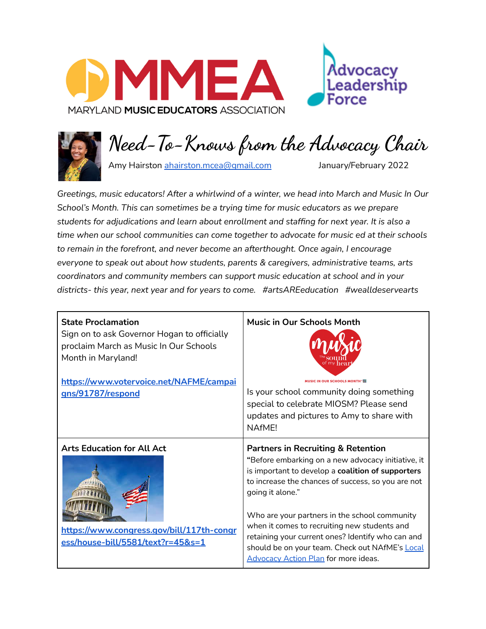



**Need-To-Knows from the Advocacy Chair**

Amy Hairston [ahairston.mcea@gmail.com](mailto:ahairston.mcea@gmail.com) January/February 2022

*Greetings, music educators! After a whirlwind of a winter, we head into March and Music In Our School's Month. This can sometimes be a trying time for music educators as we prepare students for adjudications and learn about enrollment and staffing for next year. It is also a time when our school communities can come together to advocate for music ed at their schools to remain in the forefront, and never become an afterthought. Once again, I encourage everyone to speak out about how students, parents & caregivers, administrative teams, arts coordinators and community members can support music education at school and in your districts- this year, next year and for years to come. #artsAREeducation #wealldeservearts*

| <b>State Proclamation</b>                                                                                           | <b>Music in Our Schools Month</b>                                                                                                                                                                                                                                                                                                                                                                                                                                                          |
|---------------------------------------------------------------------------------------------------------------------|--------------------------------------------------------------------------------------------------------------------------------------------------------------------------------------------------------------------------------------------------------------------------------------------------------------------------------------------------------------------------------------------------------------------------------------------------------------------------------------------|
| Sign on to ask Governor Hogan to officially                                                                         | <b>MUSIC IN OUR SCHOOLS MONTH</b>                                                                                                                                                                                                                                                                                                                                                                                                                                                          |
| proclaim March as Music In Our Schools                                                                              | Is your school community doing something                                                                                                                                                                                                                                                                                                                                                                                                                                                   |
| Month in Maryland!                                                                                                  | special to celebrate MIOSM? Please send                                                                                                                                                                                                                                                                                                                                                                                                                                                    |
| https://www.votervoice.net/NAFME/campai                                                                             | updates and pictures to Amy to share with                                                                                                                                                                                                                                                                                                                                                                                                                                                  |
| gns/91787/respond                                                                                                   | NAfMF!                                                                                                                                                                                                                                                                                                                                                                                                                                                                                     |
| <b>Arts Education for All Act</b><br>https://www.congress.gov/bill/117th-congr<br>ess/house-bill/5581/text?r=45&s=1 | <b>Partners in Recruiting &amp; Retention</b><br>"Before embarking on a new advocacy initiative, it<br>is important to develop a coalition of supporters<br>to increase the chances of success, so you are not<br>going it alone."<br>Who are your partners in the school community<br>when it comes to recruiting new students and<br>retaining your current ones? Identify who can and<br>should be on your team. Check out NAfME's Local<br><b>Advocacy Action Plan for more ideas.</b> |